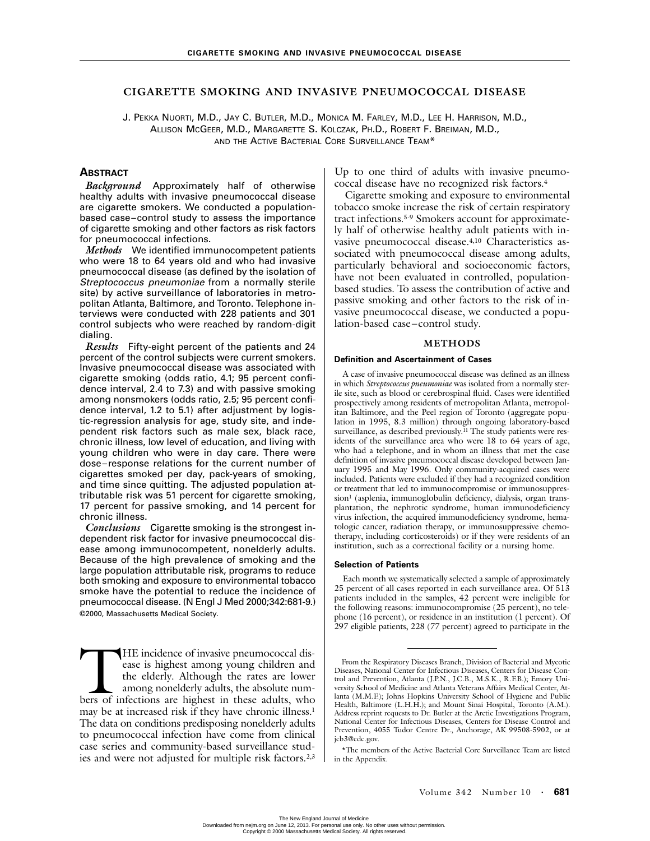# **CIGARETTE SMOKING AND INVASIVE PNEUMOCOCCAL DISEASE**

J. PEKKA NUORTI, M.D., JAY C. BUTLER, M.D., MONICA M. FARLEY, M.D., LEE H. HARRISON, M.D., ALLISON MCGEER, M.D., MARGARETTE S. KOLCZAK, PH.D., ROBERT F. BREIMAN, M.D., AND THE ACTIVE BACTERIAL CORE SURVEILLANCE TEAM\*

# **ABSTRACT**

*Background* Approximately half of otherwise healthy adults with invasive pneumococcal disease are cigarette smokers. We conducted a populationbased case–control study to assess the importance of cigarette smoking and other factors as risk factors for pneumococcal infections.

*Methods* We identified immunocompetent patients who were 18 to 64 years old and who had invasive pneumococcal disease (as defined by the isolation of Streptococcus pneumoniae from a normally sterile site) by active surveillance of laboratories in metropolitan Atlanta, Baltimore, and Toronto. Telephone interviews were conducted with 228 patients and 301 control subjects who were reached by random-digit dialing.

*Results* Fifty-eight percent of the patients and 24 percent of the control subjects were current smokers. Invasive pneumococcal disease was associated with cigarette smoking (odds ratio, 4.1; 95 percent confidence interval, 2.4 to 7.3) and with passive smoking among nonsmokers (odds ratio, 2.5; 95 percent confidence interval, 1.2 to 5.1) after adjustment by logistic-regression analysis for age, study site, and independent risk factors such as male sex, black race, chronic illness, low level of education, and living with young children who were in day care. There were dose–response relations for the current number of cigarettes smoked per day, pack-years of smoking, and time since quitting. The adjusted population attributable risk was 51 percent for cigarette smoking, 17 percent for passive smoking, and 14 percent for chronic illness.

*Conclusions* Cigarette smoking is the strongest independent risk factor for invasive pneumococcal disease among immunocompetent, nonelderly adults. Because of the high prevalence of smoking and the large population attributable risk, programs to reduce both smoking and exposure to environmental tobacco smoke have the potential to reduce the incidence of pneumococcal disease. (N Engl J Med 2000;342:681-9.) ©2000, Massachusetts Medical Society.

HE incidence of invasive pneumococcal disease is highest among young children and the elderly. Although the rates are lower among nonelderly adults, the absolute num-HE incidence of invasive pneumococcal disease is highest among young children and the elderly. Although the rates are lower among nonelderly adults, the absolute numbers of infections are highest in these adults, who may be at increased risk if they have chronic illness.<sup>1</sup> The data on conditions predisposing nonelderly adults to pneumococcal infection have come from clinical case series and community-based surveillance studies and were not adjusted for multiple risk factors.<sup>2,3</sup>

Up to one third of adults with invasive pneumococcal disease have no recognized risk factors.4

Cigarette smoking and exposure to environmental tobacco smoke increase the risk of certain respiratory tract infections.5-9 Smokers account for approximately half of otherwise healthy adult patients with invasive pneumococcal disease.4,10 Characteristics associated with pneumococcal disease among adults, particularly behavioral and socioeconomic factors, have not been evaluated in controlled, populationbased studies. To assess the contribution of active and passive smoking and other factors to the risk of invasive pneumococcal disease, we conducted a population-based case–control study.

# **METHODS**

#### **Definition and Ascertainment of Cases**

A case of invasive pneumococcal disease was defined as an illness in which *Streptococcus pneumoniae* was isolated from a normally sterile site, such as blood or cerebrospinal fluid. Cases were identified prospectively among residents of metropolitan Atlanta, metropolitan Baltimore, and the Peel region of Toronto (aggregate population in 1995, 8.3 million) through ongoing laboratory-based surveillance, as described previously.<sup>11</sup> The study patients were residents of the surveillance area who were 18 to 64 years of age, who had a telephone, and in whom an illness that met the case definition of invasive pneumococcal disease developed between January 1995 and May 1996. Only community-acquired cases were included. Patients were excluded if they had a recognized condition or treatment that led to immunocompromise or immunosuppression<sup>1</sup> (asplenia, immunoglobulin deficiency, dialysis, organ transplantation, the nephrotic syndrome, human immunodeficiency virus infection, the acquired immunodeficiency syndrome, hematologic cancer, radiation therapy, or immunosuppressive chemotherapy, including corticosteroids) or if they were residents of an institution, such as a correctional facility or a nursing home.

#### **Selection of Patients**

Each month we systematically selected a sample of approximately 25 percent of all cases reported in each surveillance area. Of 513 patients included in the samples, 42 percent were ineligible for the following reasons: immunocompromise (25 percent), no telephone (16 percent), or residence in an institution (1 percent). Of 297 eligible patients, 228 (77 percent) agreed to participate in the

From the Respiratory Diseases Branch, Division of Bacterial and Mycotic Diseases, National Center for Infectious Diseases, Centers for Disease Control and Prevention, Atlanta (J.P.N., J.C.B., M.S.K., R.F.B.); Emory University School of Medicine and Atlanta Veterans Affairs Medical Center, Atlanta (M.M.F.); Johns Hopkins University School of Hygiene and Public Health, Baltimore (L.H.H.); and Mount Sinai Hospital, Toronto (A.M.). Address reprint requests to Dr. Butler at the Arctic Investigations Program, National Center for Infectious Diseases, Centers for Disease Control and Prevention, 4055 Tudor Centre Dr., Anchorage, AK 99508-5902, or at jcb3@cdc.gov.

<sup>\*</sup>The members of the Active Bacterial Core Surveillance Team are listed in the Appendix.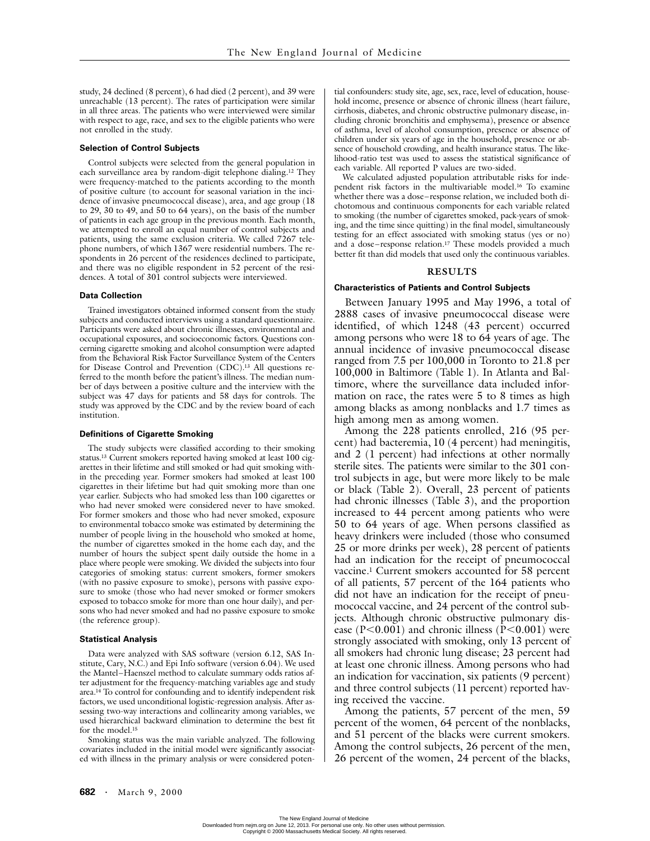study, 24 declined (8 percent), 6 had died (2 percent), and 39 were unreachable (13 percent). The rates of participation were similar in all three areas. The patients who were interviewed were similar with respect to age, race, and sex to the eligible patients who were not enrolled in the study.

## **Selection of Control Subjects**

Control subjects were selected from the general population in each surveillance area by random-digit telephone dialing.12 They were frequency-matched to the patients according to the month of positive culture (to account for seasonal variation in the incidence of invasive pneumococcal disease), area, and age group (18 to 29, 30 to 49, and 50 to 64 years), on the basis of the number of patients in each age group in the previous month. Each month, we attempted to enroll an equal number of control subjects and patients, using the same exclusion criteria. We called 7267 telephone numbers, of which 1367 were residential numbers. The respondents in 26 percent of the residences declined to participate, and there was no eligible respondent in 52 percent of the residences. A total of 301 control subjects were interviewed.

## **Data Collection**

Trained investigators obtained informed consent from the study subjects and conducted interviews using a standard questionnaire. Participants were asked about chronic illnesses, environmental and occupational exposures, and socioeconomic factors. Questions concerning cigarette smoking and alcohol consumption were adapted from the Behavioral Risk Factor Surveillance System of the Centers for Disease Control and Prevention (CDC).13 All questions referred to the month before the patient's illness. The median number of days between a positive culture and the interview with the subject was 47 days for patients and 58 days for controls. The study was approved by the CDC and by the review board of each institution.

#### **Definitions of Cigarette Smoking**

The study subjects were classified according to their smoking status.<sup>13</sup> Current smokers reported having smoked at least 100 cigarettes in their lifetime and still smoked or had quit smoking within the preceding year. Former smokers had smoked at least 100 cigarettes in their lifetime but had quit smoking more than one year earlier. Subjects who had smoked less than 100 cigarettes or who had never smoked were considered never to have smoked. For former smokers and those who had never smoked, exposure to environmental tobacco smoke was estimated by determining the number of people living in the household who smoked at home, the number of cigarettes smoked in the home each day, and the number of hours the subject spent daily outside the home in a place where people were smoking. We divided the subjects into four categories of smoking status: current smokers, former smokers (with no passive exposure to smoke), persons with passive exposure to smoke (those who had never smoked or former smokers exposed to tobacco smoke for more than one hour daily), and persons who had never smoked and had no passive exposure to smoke (the reference group).

#### **Statistical Analysis**

Data were analyzed with SAS software (version 6.12, SAS Institute, Cary, N.C.) and Epi Info software (version 6.04). We used the Mantel–Haenszel method to calculate summary odds ratios after adjustment for the frequency-matching variables age and study area.14 To control for confounding and to identify independent risk factors, we used unconditional logistic-regression analysis. After assessing two-way interactions and collinearity among variables, we used hierarchical backward elimination to determine the best fit for the model.15

Smoking status was the main variable analyzed. The following covariates included in the initial model were significantly associated with illness in the primary analysis or were considered potential confounders: study site, age, sex, race, level of education, household income, presence or absence of chronic illness (heart failure, cirrhosis, diabetes, and chronic obstructive pulmonary disease, including chronic bronchitis and emphysema), presence or absence of asthma, level of alcohol consumption, presence or absence of children under six years of age in the household, presence or absence of household crowding, and health insurance status. The likelihood-ratio test was used to assess the statistical significance of each variable. All reported P values are two-sided.

We calculated adjusted population attributable risks for independent risk factors in the multivariable model.16 To examine whether there was a dose–response relation, we included both dichotomous and continuous components for each variable related to smoking (the number of cigarettes smoked, pack-years of smoking, and the time since quitting) in the final model, simultaneously testing for an effect associated with smoking status (yes or no) and a dose–response relation.17 These models provided a much better fit than did models that used only the continuous variables.

# **RESULTS**

## **Characteristics of Patients and Control Subjects**

Between January 1995 and May 1996, a total of 2888 cases of invasive pneumococcal disease were identified, of which 1248 (43 percent) occurred among persons who were 18 to 64 years of age. The annual incidence of invasive pneumococcal disease ranged from 7.5 per 100,000 in Toronto to 21.8 per 100,000 in Baltimore (Table 1). In Atlanta and Baltimore, where the surveillance data included information on race, the rates were 5 to 8 times as high among blacks as among nonblacks and 1.7 times as high among men as among women.

Among the 228 patients enrolled, 216 (95 percent) had bacteremia, 10 (4 percent) had meningitis, and 2 (1 percent) had infections at other normally sterile sites. The patients were similar to the 301 control subjects in age, but were more likely to be male or black (Table 2). Overall, 23 percent of patients had chronic illnesses (Table 3), and the proportion increased to 44 percent among patients who were 50 to 64 years of age. When persons classified as heavy drinkers were included (those who consumed 25 or more drinks per week), 28 percent of patients had an indication for the receipt of pneumococcal vaccine.1 Current smokers accounted for 58 percent of all patients, 57 percent of the 164 patients who did not have an indication for the receipt of pneumococcal vaccine, and 24 percent of the control subjects. Although chronic obstructive pulmonary disease ( $P<0.001$ ) and chronic illness ( $P<0.001$ ) were strongly associated with smoking, only 13 percent of all smokers had chronic lung disease; 23 percent had at least one chronic illness. Among persons who had an indication for vaccination, six patients (9 percent) and three control subjects (11 percent) reported having received the vaccine.

Among the patients, 57 percent of the men, 59 percent of the women, 64 percent of the nonblacks, and 51 percent of the blacks were current smokers. Among the control subjects, 26 percent of the men, 26 percent of the women, 24 percent of the blacks,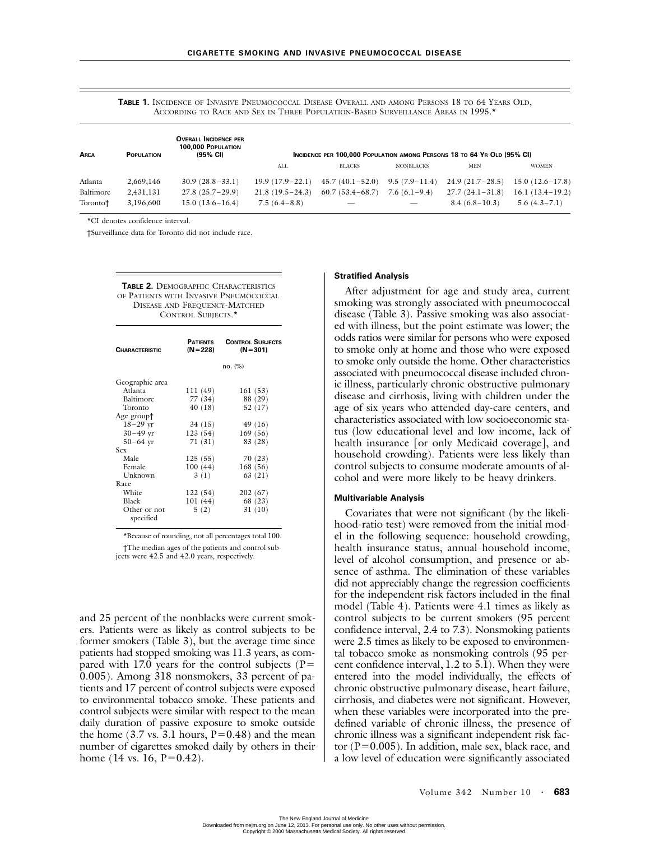**TABLE 1.** INCIDENCE OF INVASIVE PNEUMOCOCCAL DISEASE OVERALL AND AMONG PERSONS 18 TO 64 YEARS OLD, ACCORDING TO RACE AND SEX IN THREE POPULATION-BASED SURVEILLANCE AREAS IN 1995.\*

| AREA      | <b>POPULATION</b> | <b>OVERALL INCIDENCE PER</b><br><b>100,000 POPULATION</b><br>(95% CI) | INCIDENCE PER 100.000 POPULATION AMONG PERSONS 18 TO 64 YR OLD (95% CI) |                     |                  |                   |                   |  |
|-----------|-------------------|-----------------------------------------------------------------------|-------------------------------------------------------------------------|---------------------|------------------|-------------------|-------------------|--|
|           |                   |                                                                       | ALL                                                                     | <b>BLACKS</b>       | <b>NONBLACKS</b> | <b>MEN</b>        | <b>WOMEN</b>      |  |
| Atlanta   | 2,669,146         | $30.9(28.8-33.1)$                                                     | $19.9(17.9-22.1)$                                                       | $45.7(40.1 - 52.0)$ | $9.5(7.9-11.4)$  | $24.9(21.7-28.5)$ | $15.0(12.6-17.8)$ |  |
| Baltimore | 2,431,131         | $27.8(25.7-29.9)$                                                     | $21.8(19.5-24.3)$                                                       | $60.7(53.4 - 68.7)$ | $7.6(6.1-9.4)$   | $27.7(24.1-31.8)$ | $16.1(13.4-19.2)$ |  |
| Toronto†  | 3,196,600         | $15.0(13.6 - 16.4)$                                                   | $7.5(6.4-8.8)$                                                          |                     |                  | $8.4(6.8-10.3)$   | $5.6(4.3-7.1)$    |  |

\*CI denotes confidence interval.

†Surveillance data for Toronto did not include race.

**TABLE 2.** DEMOGRAPHIC CHARACTERISTICS OF PATIENTS WITH INVASIVE PNEUMOCOCCAL DISEASE AND FREQUENCY-MATCHED CONTROL SUBJECTS.\*

| <b>CHARACTERISTIC</b>     | <b>PATIENTS</b><br>$(N=228)$ | <b>CONTROL SUBJECTS</b><br>$(N = 301)$ |
|---------------------------|------------------------------|----------------------------------------|
|                           |                              | no. (%)                                |
| Geographic area           |                              |                                        |
| Atlanta                   | 111 (49)                     | 161 (53)                               |
| Baltimore                 | 77 (34)                      | 88 (29)                                |
| Toronto                   | 40 (18)                      | 52 (17)                                |
| Age group†                |                              |                                        |
| $18 - 29$ yr              | 34 (15)                      | 49 (16)                                |
| $30 - 49$ yr              | 123(54)                      | 169(56)                                |
| $50 - 64$ yr              | 71(31)                       | 83 (28)                                |
| Sex                       |                              |                                        |
| Male                      | 125(55)                      | 70 (23)                                |
| Female                    | 100(44)                      | 168(56)                                |
| Unknown                   | 3(1)                         | 63(21)                                 |
| Race                      |                              |                                        |
| White                     | 122(54)                      | 202(67)                                |
| <b>Black</b>              | 101(44)                      | 68 (23)                                |
| Other or not<br>specified | 5(2)                         | 31(10)                                 |

\*Because of rounding, not all percentages total 100.

†The median ages of the patients and control subjects were 42.5 and 42.0 years, respectively.

and 25 percent of the nonblacks were current smokers. Patients were as likely as control subjects to be former smokers (Table 3), but the average time since patients had stopped smoking was 11.3 years, as compared with 17.0 years for the control subjects ( $P=$ 0.005). Among 318 nonsmokers, 33 percent of patients and 17 percent of control subjects were exposed to environmental tobacco smoke. These patients and control subjects were similar with respect to the mean daily duration of passive exposure to smoke outside the home  $(3.7 \text{ vs. } 3.1 \text{ hours}, P=0.48)$  and the mean number of cigarettes smoked daily by others in their home  $(14 \text{ vs. } 16, P=0.42)$ .

### **Stratified Analysis**

After adjustment for age and study area, current smoking was strongly associated with pneumococcal disease (Table 3). Passive smoking was also associated with illness, but the point estimate was lower; the odds ratios were similar for persons who were exposed to smoke only at home and those who were exposed to smoke only outside the home. Other characteristics associated with pneumococcal disease included chronic illness, particularly chronic obstructive pulmonary disease and cirrhosis, living with children under the age of six years who attended day-care centers, and characteristics associated with low socioeconomic status (low educational level and low income, lack of health insurance [or only Medicaid coverage], and household crowding). Patients were less likely than control subjects to consume moderate amounts of alcohol and were more likely to be heavy drinkers.

#### **Multivariable Analysis**

Covariates that were not significant (by the likelihood-ratio test) were removed from the initial model in the following sequence: household crowding, health insurance status, annual household income, level of alcohol consumption, and presence or absence of asthma. The elimination of these variables did not appreciably change the regression coefficients for the independent risk factors included in the final model (Table 4). Patients were 4.1 times as likely as control subjects to be current smokers (95 percent confidence interval, 2.4 to 7.3). Nonsmoking patients were 2.5 times as likely to be exposed to environmental tobacco smoke as nonsmoking controls (95 percent confidence interval, 1.2 to 5.1). When they were entered into the model individually, the effects of chronic obstructive pulmonary disease, heart failure, cirrhosis, and diabetes were not significant. However, when these variables were incorporated into the predefined variable of chronic illness, the presence of chronic illness was a significant independent risk factor  $(P=0.005)$ . In addition, male sex, black race, and a low level of education were significantly associated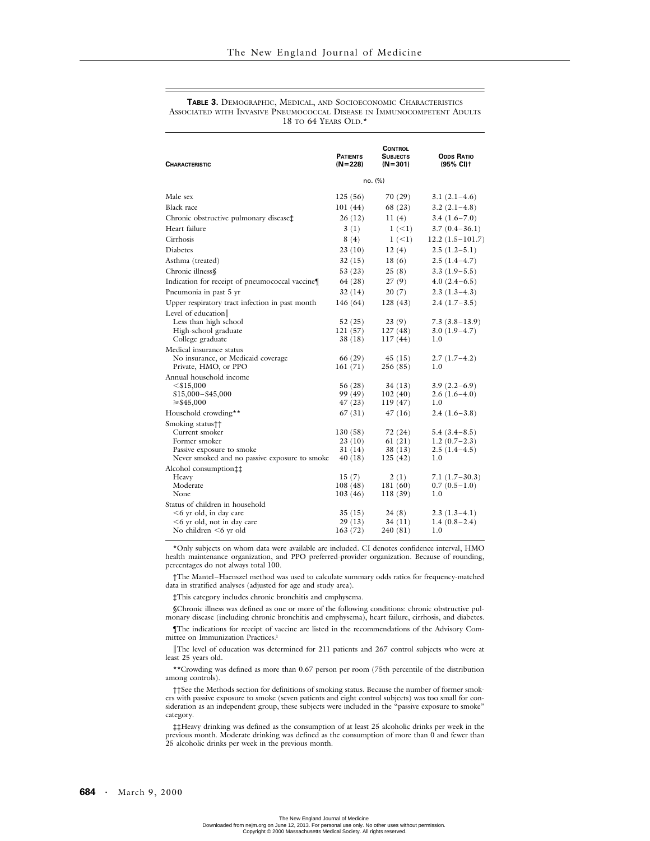#### **TABLE 3.** DEMOGRAPHIC, MEDICAL, AND SOCIOECONOMIC CHARACTERISTICS ASSOCIATED WITH INVASIVE PNEUMOCOCCAL DISEASE IN IMMUNOCOMPETENT ADULTS 18 TO 64 YEARS OLD.\*

| <b>CHARACTERISTIC</b>                                                                                                             | <b>PATIENTS</b><br>$(N=228)$              | <b>CONTROL</b><br><b>SUBJECTS</b><br>$(N=301)$ | <b>ODDS RATIO</b><br>(95% CI)†                            |
|-----------------------------------------------------------------------------------------------------------------------------------|-------------------------------------------|------------------------------------------------|-----------------------------------------------------------|
|                                                                                                                                   | no. (%)                                   |                                                |                                                           |
| Male sex                                                                                                                          | 125(56)                                   | 70 (29)                                        | $3.1(2.1-4.6)$                                            |
| Black race                                                                                                                        | 101(44)                                   | 68 (23)                                        | $3.2(2.1-4.8)$                                            |
| Chronic obstructive pulmonary disease‡                                                                                            | 26(12)                                    | 11(4)                                          | $3.4(1.6 - 7.0)$                                          |
| Heart failure                                                                                                                     | 3(1)                                      | $1 (-1)$                                       | $3.7(0.4 - 36.1)$                                         |
| Cirrhosis                                                                                                                         | 8(4)                                      | $1 (-1)$                                       | $12.2(1.5-101.7)$                                         |
| Diabetes                                                                                                                          | 23(10)                                    | 12(4)                                          | $2.5(1.2-5.1)$                                            |
| Asthma (treated)                                                                                                                  | 32(15)                                    | 18(6)                                          | $2.5(1.4-4.7)$                                            |
| Chronic illness§                                                                                                                  | 53 (23)                                   | 25(8)                                          | $3.3(1.9-5.5)$                                            |
| Indication for receipt of pneumococcal vaccine                                                                                    | 64 (28)                                   | 27 (9)                                         | $4.0(2.4-6.5)$                                            |
| Pneumonia in past 5 yr                                                                                                            | 32(14)                                    | 20(7)                                          | $2.3(1.3-4.3)$                                            |
| Upper respiratory tract infection in past month                                                                                   | 146(64)                                   | 128(43)                                        | $2.4(1.7-3.5)$                                            |
| Level of education<br>Less than high school<br>High-school graduate<br>College graduate                                           | 52(25)<br>121(57)<br>38 (18)              | 23(9)<br>127(48)<br>117(44)                    | $7.3(3.8-13.9)$<br>$3.0(1.9-4.7)$<br>1.0                  |
| Medical insurance status                                                                                                          |                                           |                                                |                                                           |
| No insurance, or Medicaid coverage<br>Private, HMO, or PPO                                                                        | 66 (29)<br>161(71)                        | 45 (15)<br>256 (85)                            | $2.7(1.7-4.2)$<br>1.0                                     |
| Annual household income<br>$<$ \$15,000<br>$$15,000 - $45,000$<br>$\geq$ \$45,000                                                 | 56 (28)<br>99 (49)<br>47 (23)             | 34 (13)<br>102(40)<br>119(47)                  | $3.9(2.2-6.9)$<br>$2.6(1.6-4.0)$<br>1.0                   |
| Household crowding**                                                                                                              | 67 (31)                                   | 47 (16)                                        | $2.4(1.6-3.8)$                                            |
| Smoking status††<br>Current smoker<br>Former smoker<br>Passive exposure to smoke<br>Never smoked and no passive exposure to smoke | 130 (58)<br>23 (10)<br>31 (14)<br>40 (18) | 72 (24)<br>61(21)<br>38 (13)<br>125(42)        | $5.4(3.4-8.5)$<br>$1.2(0.7-2.3)$<br>$2.5(1.4-4.5)$<br>1.0 |
| Alcohol consumption <sup>++</sup><br>Heavy<br>Moderate<br>None                                                                    | 15(7)<br>108(48)<br>103(46)               | 2(1)<br>181 (60)<br>118(39)                    | 7.1 (1.7–30.3)<br>$0.7(0.5-1.0)$<br>1.0                   |
| Status of children in household<br>$<$ 6 yr old, in day care<br>$<$ 6 yr old, not in day care<br>No children $\leq 6$ yr old      | 35(15)<br>29 (13)<br>163(72)              | 24(8)<br>34 (11)<br>240 (81)                   | $2.3(1.3-4.1)$<br>$1.4(0.8-2.4)$<br>1.0                   |

\*Only subjects on whom data were available are included. CI denotes confidence interval, HMO health maintenance organization, and PPO preferred-provider organization. Because of rounding, percentages do not always total 100.

†The Mantel–Haenszel method was used to calculate summary odds ratios for frequency-matched data in stratified analyses (adjusted for age and study area).

‡This category includes chronic bronchitis and emphysema.

§Chronic illness was defined as one or more of the following conditions: chronic obstructive pulmonary disease (including chronic bronchitis and emphysema), heart failure, cirrhosis, and diabetes.

¶The indications for receipt of vaccine are listed in the recommendations of the Advisory Committee on Immunization Practices.1

||The level of education was determined for 211 patients and 267 control subjects who were at least 25 years old.

\*\*Crowding was defined as more than 0.67 person per room (75th percentile of the distribution among controls).

††See the Methods section for definitions of smoking status. Because the number of former smokers with passive exposure to smoke (seven patients and eight control subjects) was too small for consideration as an independent group, these subjects were included in the "passive exposure to smoke" category.

‡‡Heavy drinking was defined as the consumption of at least 25 alcoholic drinks per week in the previous month. Moderate drinking was defined as the consumption of more than 0 and fewer than 25 alcoholic drinks per week in the previous month.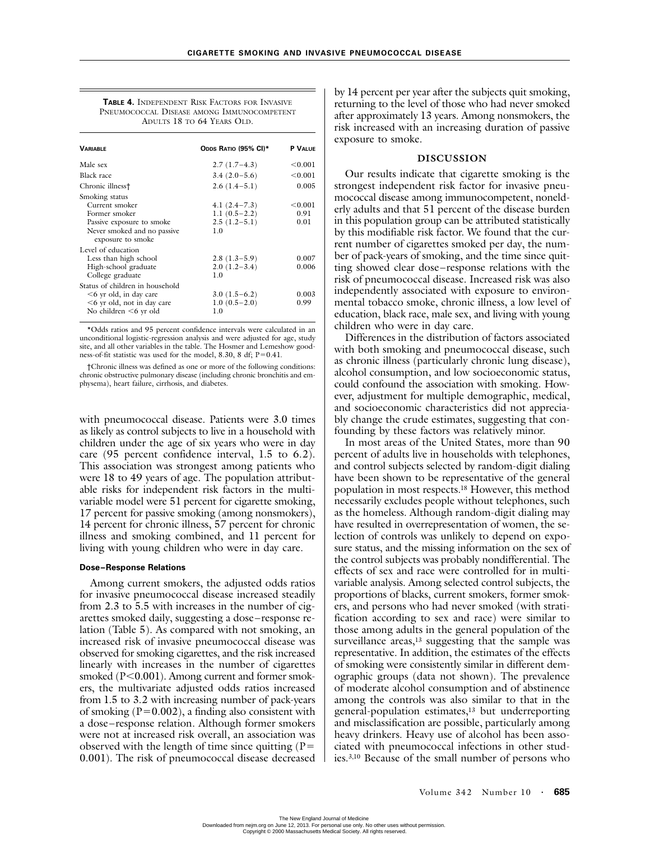**TABLE 4.** INDEPENDENT RISK FACTORS FOR INVASIVE PNEUMOCOCCAL DISEASE AMONG IMMUNOCOMPETENT ADULTS 18 TO 64 YEARS OLD.

| <b><i>VARIABLE</i></b>                                                                                                       | ODDS RATIO (95% CI)*                                          | P VALUE                 |
|------------------------------------------------------------------------------------------------------------------------------|---------------------------------------------------------------|-------------------------|
| Male sex                                                                                                                     | $2.7(1.7-4.3)$                                                | < 0.001                 |
| Black race                                                                                                                   | $3.4(2.0-5.6)$                                                | < 0.001                 |
| Chronic illness†                                                                                                             | $2.6(1.4-5.1)$                                                | 0.005                   |
| Smoking status<br>Current smoker<br>Former smoker<br>Passive exposure to smoke<br>Never smoked and no passive                | 4.1 $(2.4 - 7.3)$<br>1.1 $(0.5-2.2)$<br>$2.5(1.2-5.1)$<br>1.0 | < 0.001<br>0.91<br>0.01 |
| exposure to smoke<br>Level of education<br>Less than high school<br>High-school graduate<br>College graduate                 | $2.8(1.3-5.9)$<br>$2.0(1.2-3.4)$<br>1.0                       | 0.007<br>0.006          |
| Status of children in household<br>$<$ 6 yr old, in day care<br>$<$ 6 yr old, not in day care<br>No children $\leq 6$ yr old | $3.0(1.5-6.2)$<br>$1.0(0.5-2.0)$<br>1.0                       | 0.003<br>0.99           |

\*Odds ratios and 95 percent confidence intervals were calculated in an unconditional logistic-regression analysis and were adjusted for age, study site, and all other variables in the table. The Hosmer and Lemeshow goodness-of-fit statistic was used for the model, 8.30, 8 df; P=0.41.

†Chronic illness was defined as one or more of the following conditions: chronic obstructive pulmonary disease (including chronic bronchitis and emphysema), heart failure, cirrhosis, and diabetes.

with pneumococcal disease. Patients were 3.0 times as likely as control subjects to live in a household with children under the age of six years who were in day care (95 percent confidence interval, 1.5 to 6.2). This association was strongest among patients who were 18 to 49 years of age. The population attributable risks for independent risk factors in the multivariable model were 51 percent for cigarette smoking, 17 percent for passive smoking (among nonsmokers), 14 percent for chronic illness, 57 percent for chronic illness and smoking combined, and 11 percent for living with young children who were in day care.

## **Dose–Response Relations**

Among current smokers, the adjusted odds ratios for invasive pneumococcal disease increased steadily from 2.3 to 5.5 with increases in the number of cigarettes smoked daily, suggesting a dose–response relation (Table 5). As compared with not smoking, an increased risk of invasive pneumococcal disease was observed for smoking cigarettes, and the risk increased linearly with increases in the number of cigarettes smoked (P<0.001). Among current and former smokers, the multivariate adjusted odds ratios increased from 1.5 to 3.2 with increasing number of pack-years of smoking  $(P=0.002)$ , a finding also consistent with a dose–response relation. Although former smokers were not at increased risk overall, an association was observed with the length of time since quitting  $(P=$ 0.001). The risk of pneumococcal disease decreased by 14 percent per year after the subjects quit smoking, returning to the level of those who had never smoked after approximately 13 years. Among nonsmokers, the risk increased with an increasing duration of passive exposure to smoke.

## **DISCUSSION**

Our results indicate that cigarette smoking is the strongest independent risk factor for invasive pneumococcal disease among immunocompetent, nonelderly adults and that 51 percent of the disease burden in this population group can be attributed statistically by this modifiable risk factor. We found that the current number of cigarettes smoked per day, the number of pack-years of smoking, and the time since quitting showed clear dose–response relations with the risk of pneumococcal disease. Increased risk was also independently associated with exposure to environmental tobacco smoke, chronic illness, a low level of education, black race, male sex, and living with young children who were in day care.

Differences in the distribution of factors associated with both smoking and pneumococcal disease, such as chronic illness (particularly chronic lung disease), alcohol consumption, and low socioeconomic status, could confound the association with smoking. However, adjustment for multiple demographic, medical, and socioeconomic characteristics did not appreciably change the crude estimates, suggesting that confounding by these factors was relatively minor.

In most areas of the United States, more than 90 percent of adults live in households with telephones, and control subjects selected by random-digit dialing have been shown to be representative of the general population in most respects.18 However, this method necessarily excludes people without telephones, such as the homeless. Although random-digit dialing may have resulted in overrepresentation of women, the selection of controls was unlikely to depend on exposure status, and the missing information on the sex of the control subjects was probably nondifferential. The effects of sex and race were controlled for in multivariable analysis. Among selected control subjects, the proportions of blacks, current smokers, former smokers, and persons who had never smoked (with stratification according to sex and race) were similar to those among adults in the general population of the surveillance  $\arccos$ ,<sup>13</sup> suggesting that the sample was representative. In addition, the estimates of the effects of smoking were consistently similar in different demographic groups (data not shown). The prevalence of moderate alcohol consumption and of abstinence among the controls was also similar to that in the general-population estimates,13 but underreporting and misclassification are possible, particularly among heavy drinkers. Heavy use of alcohol has been associated with pneumococcal infections in other studies.3,10 Because of the small number of persons who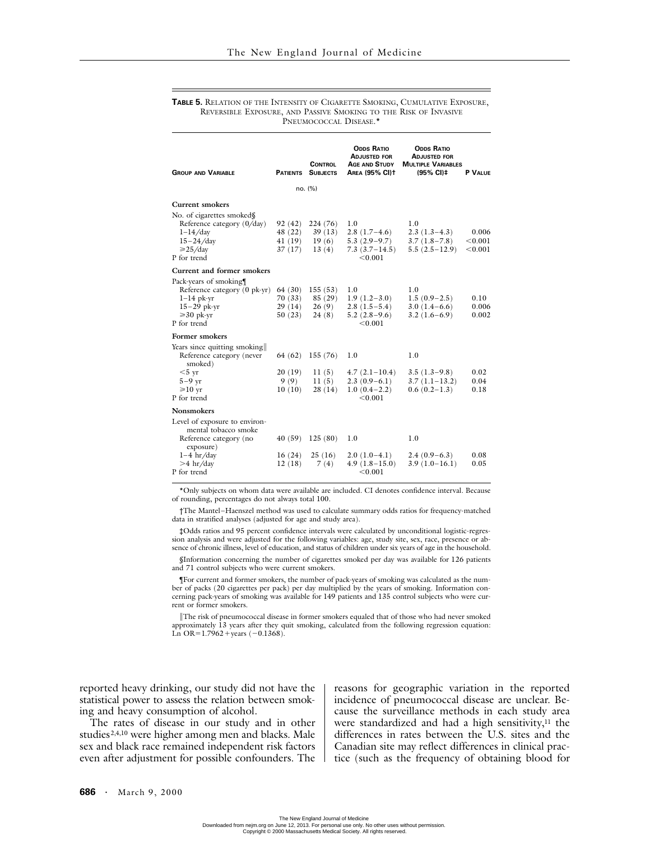#### **TABLE 5.** RELATION OF THE INTENSITY OF CIGARETTE SMOKING, CUMULATIVE EXPOSURE, REVERSIBLE EXPOSURE, AND PASSIVE SMOKING TO THE RISK OF INVASIVE PNEUMOCOCCAL DISEASE.<sup>\*</sup>

| <b>GROUP AND VARIABLE</b>                                                                                                                                                                                                                                                    |                                                                               | <b>CONTROL</b><br><b>PATIENTS SUBJECTS</b>                                  | <b>ODDS RATIO</b><br><b>ADJUSTED FOR</b><br><b>AGE AND STUDY</b><br><b>AREA (95% CI)t</b>                                                     | <b>ODDS RATIO</b><br><b>ADJUSTED FOR</b><br><b>MULTIPLE VARIABLES</b><br>(95% CI) ‡                                     | P VALUE                                        |
|------------------------------------------------------------------------------------------------------------------------------------------------------------------------------------------------------------------------------------------------------------------------------|-------------------------------------------------------------------------------|-----------------------------------------------------------------------------|-----------------------------------------------------------------------------------------------------------------------------------------------|-------------------------------------------------------------------------------------------------------------------------|------------------------------------------------|
|                                                                                                                                                                                                                                                                              |                                                                               | no. (%)                                                                     |                                                                                                                                               |                                                                                                                         |                                                |
| Current smokers                                                                                                                                                                                                                                                              |                                                                               |                                                                             |                                                                                                                                               |                                                                                                                         |                                                |
| No. of cigarettes smoked§<br>Reference category (0/day)<br>$1-14/day$<br>$15 - 24 / day$<br>$\geq 25$ /day<br>P for trend                                                                                                                                                    | 92(42)<br>48 (22)<br>41 (19)<br>37(17)                                        | 224(76)<br>39(13)<br>19(6)<br>13(4)                                         | 1.0<br>$2.8(1.7-4.6)$<br>$5.3(2.9-9.7)$<br>$7.3(3.7-14.5)$<br>< 0.001                                                                         | 1.0<br>$2.3(1.3-4.3)$<br>$3.7(1.8-7.8)$<br>$5.5(2.5-12.9)$                                                              | 0.006<br>< 0.001<br>< 0.001                    |
| Current and former smokers                                                                                                                                                                                                                                                   |                                                                               |                                                                             |                                                                                                                                               |                                                                                                                         |                                                |
| Pack-years of smoking¶<br>Reference category (0 pk-yr)<br>$1-14$ pk-yr<br>$15 - 29$ pk-yr<br>$\geq 30$ pk-yr<br>P for trend<br>Former smokers<br>Years since quitting smoking<br>Reference category (never<br>smoked)<br>$<$ 5 vr<br>$5-9$ yr<br>$\geq 10$ yr<br>P for trend | 64 (30)<br>70 (33)<br>29(14)<br>50(23)<br>64 (62)<br>20(19)<br>9(9)<br>10(10) | 155(53)<br>85 (29)<br>26(9)<br>24(8)<br>155(76)<br>11(5)<br>11(5)<br>28(14) | 1.0<br>$1.9(1.2-3.0)$<br>$2.8(1.5-5.4)$<br>$5.2(2.8-9.6)$<br>< 0.001<br>1.0<br>$4.7(2.1-10.4)$<br>$2.3(0.9-6.1)$<br>$1.0(0.4-2.2)$<br>< 0.001 | 1.0<br>$1.5(0.9-2.5)$<br>$3.0(1.4-6.6)$<br>$3.2(1.6-6.9)$<br>1.0<br>$3.5(1.3-9.8)$<br>$3.7(1.1-13.2)$<br>$0.6(0.2-1.3)$ | 0.10<br>0.006<br>0.002<br>0.02<br>0.04<br>0.18 |
| <b>Nonsmokers</b>                                                                                                                                                                                                                                                            |                                                                               |                                                                             |                                                                                                                                               |                                                                                                                         |                                                |
| Level of exposure to environ-<br>mental tobacco smoke<br>Reference category (no<br>exposure)                                                                                                                                                                                 | 40(59)                                                                        | 125(80)                                                                     | 1.0                                                                                                                                           | 1.0                                                                                                                     |                                                |
| $1-4$ hr/day<br>$>4$ hr/day<br>P for trend                                                                                                                                                                                                                                   | 16(24)<br>12(18)                                                              | 25(16)<br>7(4)                                                              | $2.0(1.0-4.1)$<br>$4.9(1.8-15.0)$<br>< 0.001                                                                                                  | $2.4(0.9-6.3)$<br>$3.9(1.0-16.1)$                                                                                       | 0.08<br>0.05                                   |

\*Only subjects on whom data were available are included. CI denotes confidence interval. Because of rounding, percentages do not always total 100.

†The Mantel–Haenszel method was used to calculate summary odds ratios for frequency-matched data in stratified analyses (adjusted for age and study area).

‡Odds ratios and 95 percent confidence intervals were calculated by unconditional logistic-regression analysis and were adjusted for the following variables: age, study site, sex, race, presence or absence of chronic illness, level of education, and status of children under six years of age in the household.

§Information concerning the number of cigarettes smoked per day was available for 126 patients and 71 control subjects who were current smokers.

¶For current and former smokers, the number of pack-years of smoking was calculated as the number of packs (20 cigarettes per pack) per day multiplied by the years of smoking. Information concerning pack-years of smoking was available for 149 patients and 135 control subjects who were current or former smokers.

The risk of pneumococcal disease in former smokers equaled that of those who had never smoked approximately 13 years after they quit smoking, calculated from the following regression equation: Ln OR= $1.7962 + \text{years } (-0.1368)$ .

reported heavy drinking, our study did not have the statistical power to assess the relation between smoking and heavy consumption of alcohol.

The rates of disease in our study and in other studies2,4,10 were higher among men and blacks. Male sex and black race remained independent risk factors even after adjustment for possible confounders. The reasons for geographic variation in the reported incidence of pneumococcal disease are unclear. Because the surveillance methods in each study area were standardized and had a high sensitivity, $11$  the differences in rates between the U.S. sites and the Canadian site may reflect differences in clinical practice (such as the frequency of obtaining blood for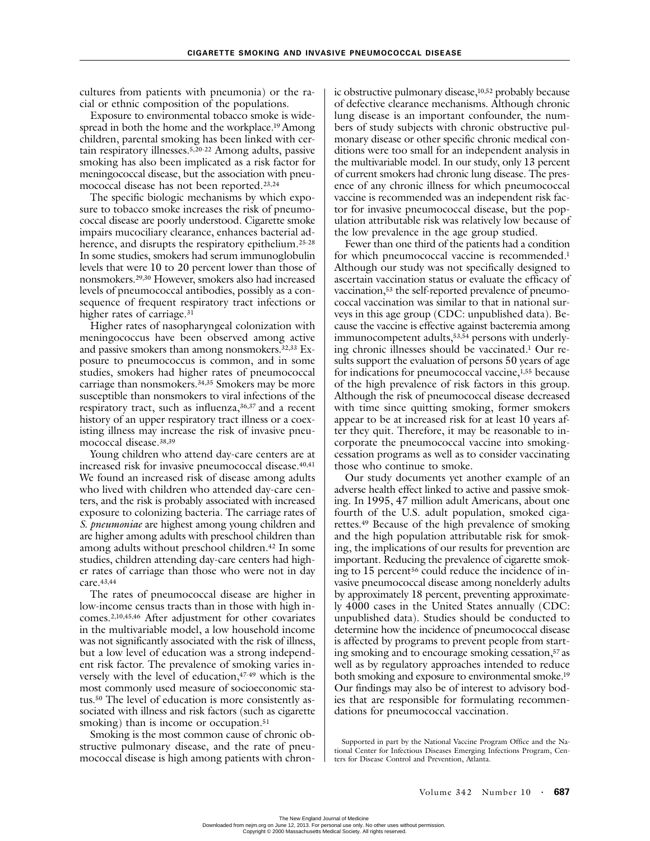cultures from patients with pneumonia) or the racial or ethnic composition of the populations.

Exposure to environmental tobacco smoke is widespread in both the home and the workplace.<sup>19</sup> Among children, parental smoking has been linked with certain respiratory illnesses.5,20-22 Among adults, passive smoking has also been implicated as a risk factor for meningococcal disease, but the association with pneumococcal disease has not been reported.23,24

The specific biologic mechanisms by which exposure to tobacco smoke increases the risk of pneumococcal disease are poorly understood. Cigarette smoke impairs mucociliary clearance, enhances bacterial adherence, and disrupts the respiratory epithelium.<sup>25-28</sup> In some studies, smokers had serum immunoglobulin levels that were 10 to 20 percent lower than those of nonsmokers.29,30 However, smokers also had increased levels of pneumococcal antibodies, possibly as a consequence of frequent respiratory tract infections or higher rates of carriage.<sup>31</sup>

Higher rates of nasopharyngeal colonization with meningococcus have been observed among active and passive smokers than among nonsmokers.32,33 Exposure to pneumococcus is common, and in some studies, smokers had higher rates of pneumococcal carriage than nonsmokers.34,35 Smokers may be more susceptible than nonsmokers to viral infections of the respiratory tract, such as influenza, 36,37 and a recent history of an upper respiratory tract illness or a coexisting illness may increase the risk of invasive pneumococcal disease.38,39

Young children who attend day-care centers are at increased risk for invasive pneumococcal disease.<sup>40,41</sup> We found an increased risk of disease among adults who lived with children who attended day-care centers, and the risk is probably associated with increased exposure to colonizing bacteria. The carriage rates of *S. pneumoniae* are highest among young children and are higher among adults with preschool children than among adults without preschool children.42 In some studies, children attending day-care centers had higher rates of carriage than those who were not in day care.43,44

The rates of pneumococcal disease are higher in low-income census tracts than in those with high incomes.2,10,45,46 After adjustment for other covariates in the multivariable model, a low household income was not significantly associated with the risk of illness, but a low level of education was a strong independent risk factor. The prevalence of smoking varies inversely with the level of education,  $47-49$  which is the most commonly used measure of socioeconomic status.50 The level of education is more consistently associated with illness and risk factors (such as cigarette smoking) than is income or occupation.<sup>51</sup>

Smoking is the most common cause of chronic obstructive pulmonary disease, and the rate of pneumococcal disease is high among patients with chronic obstructive pulmonary disease,10,52 probably because of defective clearance mechanisms. Although chronic lung disease is an important confounder, the numbers of study subjects with chronic obstructive pulmonary disease or other specific chronic medical conditions were too small for an independent analysis in the multivariable model. In our study, only 13 percent of current smokers had chronic lung disease. The presence of any chronic illness for which pneumococcal vaccine is recommended was an independent risk factor for invasive pneumococcal disease, but the population attributable risk was relatively low because of the low prevalence in the age group studied.

Fewer than one third of the patients had a condition for which pneumococcal vaccine is recommended.<sup>1</sup> Although our study was not specifically designed to ascertain vaccination status or evaluate the efficacy of vaccination,53 the self-reported prevalence of pneumococcal vaccination was similar to that in national surveys in this age group (CDC: unpublished data). Because the vaccine is effective against bacteremia among immunocompetent adults, 53,54 persons with underlying chronic illnesses should be vaccinated.1 Our results support the evaluation of persons 50 years of age for indications for pneumococcal vaccine,1,55 because of the high prevalence of risk factors in this group. Although the risk of pneumococcal disease decreased with time since quitting smoking, former smokers appear to be at increased risk for at least 10 years after they quit. Therefore, it may be reasonable to incorporate the pneumococcal vaccine into smokingcessation programs as well as to consider vaccinating those who continue to smoke.

Our study documents yet another example of an adverse health effect linked to active and passive smoking. In 1995, 47 million adult Americans, about one fourth of the U.S. adult population, smoked cigarettes.49 Because of the high prevalence of smoking and the high population attributable risk for smoking, the implications of our results for prevention are important. Reducing the prevalence of cigarette smoking to 15 percent<sup>56</sup> could reduce the incidence of invasive pneumococcal disease among nonelderly adults by approximately 18 percent, preventing approximately 4000 cases in the United States annually (CDC: unpublished data). Studies should be conducted to determine how the incidence of pneumococcal disease is affected by programs to prevent people from starting smoking and to encourage smoking cessation,<sup>57</sup> as well as by regulatory approaches intended to reduce both smoking and exposure to environmental smoke.19 Our findings may also be of interest to advisory bodies that are responsible for formulating recommendations for pneumococcal vaccination.

Supported in part by the National Vaccine Program Office and the National Center for Infectious Diseases Emerging Infections Program, Centers for Disease Control and Prevention, Atlanta.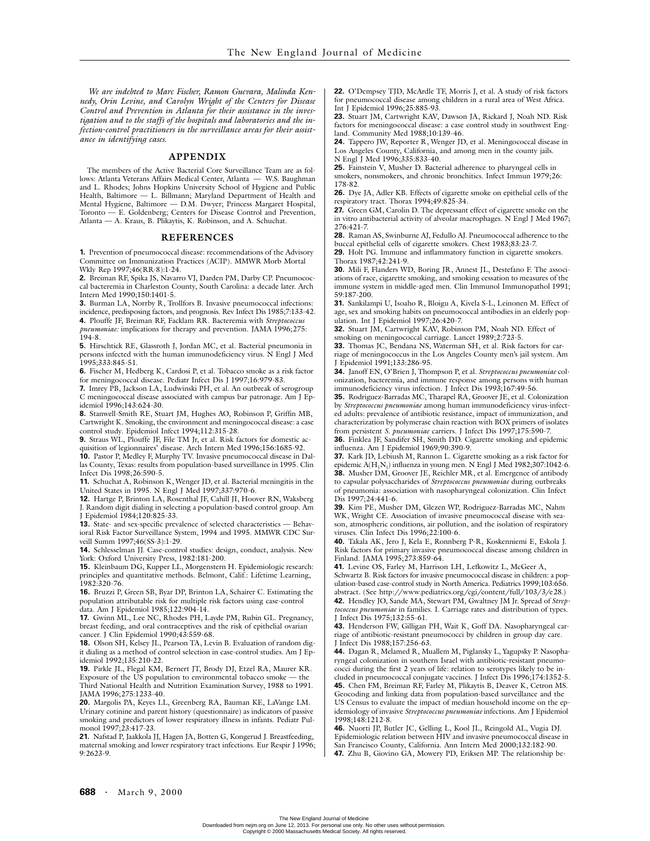*We are indebted to Marc Fischer, Ramon Guevara, Malinda Kennedy, Orin Levine, and Carolyn Wright of the Centers for Disease Control and Prevention in Atlanta for their assistance in the investigation and to the staffs of the hospitals and laboratories and the infection-control practitioners in the surveillance areas for their assistance in identifying cases.*

## **APPENDIX**

The members of the Active Bacterial Core Surveillance Team are as fol-<br>ws: Atlanta Veterans Affairs Medical Center, Atlanta — W.S. Baughman lows: Atlanta Veterans Affairs Medical Center, Atlanta and L. Rhodes; Johns Hopkins University School of Hygiene and Public Health, Baltimore — L. Billmann; Maryland Department of Health and Mental Hygiene, Baltimore — D.M. Dwyer; Princess Margaret Hospital, Toronto — E. Goldenberg; Centers for Disease Control and Prevention, Atlanta — A. Kraus, B. Plikaytis, K. Robinson, and A. Schuchat.

#### **REFERENCES**

**1.** Prevention of pneumococcal disease: recommendations of the Advisory Committee on Immunization Practices (ACIP). MMWR Morb Mortal Wkly Rep 1997;46(RR-8):1-24.

**2.** Breiman RF, Spika JS, Navarro VJ, Darden PM, Darby CP. Pneumococcal bacteremia in Charleston County, South Carolina: a decade later. Arch Intern Med 1990;150:1401-5.

**3.** Burman LA, Norrby R, Trollfors B. Invasive pneumococcal infections: incidence, predisposing factors, and prognosis. Rev Infect Dis 1985;7:133-42.

**4.** Plouffe JF, Breiman RF, Facklam RR. Bacteremia with *Streptococcus pneumoniae:* implications for therapy and prevention. JAMA 1996;275:  $194 - 8$ 

**5.** Hirschtick RE, Glassroth J, Jordan MC, et al. Bacterial pneumonia in persons infected with the human immunodeficiency virus.  $\mathbf{\hat{N}}$  Engl J Med 1995;333:845-51.

**6.** Fischer M, Hedberg K, Cardosi P, et al. Tobacco smoke as a risk factor for meningococcal disease. Pediatr Infect Dis J 1997;16:979-83.

**7.** Imrey PB, Jackson LA, Ludwinski PH, et al. An outbreak of serogroup C meningococcal disease associated with campus bar patronage. Am J Epidemiol 1996;143:624-30.

**8.** Stanwell-Smith RE, Stuart JM, Hughes AO, Robinson P, Griffin MB, Cartwright K. Smoking, the environment and meningococcal disease: a case control study. Epidemiol Infect 1994;112:315-28.

**9.** Straus WL, Plouffe JF, File TM Jr, et al. Risk factors for domestic acquisition of legionnaires' disease. Arch Intern Med 1996;156:1685-92.

**10.** Pastor P, Medley F, Murphy TV. Invasive pneumococcal disease in Dallas County, Texas: results from population-based surveillance in 1995. Clin Infect Dis 1998;26:590-5.

**11.** Schuchat A, Robinson K, Wenger JD, et al. Bacterial meningitis in the United States in 1995. N Engl J Med 1997;337:970-6.

**12.** Hartge P, Brinton LA, Rosenthal JF, Cahill JI, Hoover RN, Waksberg J. Random digit dialing in selecting a population-based control group. Am J Epidemiol 1984;120:825-33.

**13.** State- and sex-specific prevalence of selected characteristics — Behavioral Risk Factor Surveillance System, 1994 and 1995. MMWR CDC Surveill Summ 1997;46(SS-3):1-29.

**14.** Schlesselman JJ. Case-control studies: design, conduct, analysis. New York: Oxford University Press, 1982:181-200.

**15.** Kleinbaum DG, Kupper LL, Morgenstern H. Epidemiologic research: principles and quantitative methods. Belmont, Calif.: Lifetime Learning, 1982:320-76.

**16.** Bruzzi P, Green SB, Byar DP, Brinton LA, Schairer C. Estimating the population attributable risk for multiple risk factors using case-control data. Am J Epidemiol 1985;122:904-14.

**17.** Gwinn ML, Lee NC, Rhodes PH, Layde PM, Rubin GL. Pregnancy, breast feeding, and oral contraceptives and the risk of epithelial ovarian cancer. J Clin Epidemiol 1990;43:559-68.

**18.** Olson SH, Kelsey JL, Pearson TA, Levin B. Evaluation of random digit dialing as a method of control selection in case-control studies. Am J Epidemiol 1992;135:210-22.

**19.** Pirkle JL, Flegal KM, Bernert JT, Brody DJ, Etzel RA, Maurer KR. Exposure of the US population to environmental tobacco smoke — the Third National Health and Nutrition Examination Survey, 1988 to 1991. JAMA 1996;275:1233-40.

**20.** Margolis PA, Keyes LL, Greenberg RA, Bauman KE, LaVange LM. Urinary cotinine and parent history (questionnaire) as indicators of passive smoking and predictors of lower respiratory illness in infants. Pediatr Pulmonol 1997;23:417-23.

**21.** Nafstad P, Jaakkola JJ, Hagen JA, Botten G, Kongerud J. Breastfeeding, maternal smoking and lower respiratory tract infections. Eur Respir J 1996; 9:2623-9.

**22.** O'Dempsey TJD, McArdle TF, Morris J, et al. A study of risk factors for pneumococcal disease among children in a rural area of West Africa. Int J Epidemiol 1996;25:885-93.

**23.** Stuart JM, Cartwright KAV, Dawson JA, Rickard J, Noah ND. Risk factors for meningococcal disease: a case control study in southwest England. Community Med 1988;10:139-46.

**24.** Tappero JW, Reporter R, Wenger JD, et al. Meningococcal disease in Los Angeles County, California, and among men in the county jails. N Engl J Med 1996;335:833-40.

**25.** Fainstein V, Musher D. Bacterial adherence to pharyngeal cells in smokers, nonsmokers, and chronic bronchitics. Infect Immun 1979;26: 178-82.

**26.** Dye JA, Adler KB. Effects of cigarette smoke on epithelial cells of the respiratory tract. Thorax 1994;49:825-34.

**27.** Green GM, Carolin D. The depressant effect of cigarette smoke on the in vitro antibacterial activity of alveolar macrophages. N Engl J Med 1967; 276:421-7.

**28.** Raman AS, Swinburne AJ, Fedullo AJ. Pneumococcal adherence to the buccal epithelial cells of cigarette smokers. Chest 1983;83:23-7.

**29.** Holt PG. Immune and inflammatory function in cigarette smokers. Thorax 1987;42:241-9.

**30.** Mili F, Flanders WD, Boring JR, Annest JL, Destefano F. The associations of race, cigarette smoking, and smoking cessation to measures of the immune system in middle-aged men. Clin Immunol Immunopathol 1991; 59:187-200.

**31.** Sankilampi U, Isoaho R, Bloigu A, Kivela S-L, Leinonen M. Effect of age, sex and smoking habits on pneumococcal antibodies in an elderly population. Int J Epidemiol 1997;26:420-7.

**32.** Stuart JM, Cartwright KAV, Robinson PM, Noah ND. Effect of smoking on meningococcal carriage. Lancet 1989;2:723-5.

**33.** Thomas JC, Bendana NS, Waterman SH, et al. Risk factors for carriage of meningococcus in the Los Angeles County men's jail system. Am J Epidemiol 1991;133:286-95.

**34.** Janoff EN, O'Brien J, Thompson P, et al. *Streptococcus pneumoniae* colonization, bacteremia, and immune response among persons with human immunodeficiency virus infection. J Infect Dis 1993;167:49-56.

**35.** Rodriguez-Barradas MC, Tharapel RA, Groover JE, et al. Colonization by *Streptococcus pneumoniae* among human immunodeficiency virus-infected adults: prevalence of antibiotic resistance, impact of immunization, and characterization by polymerase chain reaction with BOX primers of isolates from persistent *S. pneumoniae* carriers. J Infect Dis 1997;175:590-7.

**36.** Finklea JF, Sandifer SH, Smith DD. Cigarette smoking and epidemic influenza. Am J Epidemiol 1969;90:390-9.

**37.** Kark JD, Lebiush M, Rannon L. Cigarette smoking as a risk factor for epidemic A(H<sub>1</sub>N<sub>1</sub>) influenza in young men. N Engl J Med 1982;307:1042-6. **38.** Musher DM, Groover JE, Reichler MR, et al. Emergence of antibody to capsular polysaccharides of *Streptococcus pneumoniae* during outbreaks of pneumonia: association with nasopharyngeal colonization. Clin Infect Dis 1997;24:441-6.

**39.** Kim PE, Musher DM, Glezen WP, Rodriguez-Barradas MC, Nahm WK, Wright CE. Association of invasive pneumococcal disease with season, atmospheric conditions, air pollution, and the isolation of respiratory viruses. Clin Infect Dis 1996;22:100-6.

**40.** Takala AK, Jero J, Kela E, Ronnberg P-R, Koskenniemi E, Eskola J. Risk factors for primary invasive pneumococcal disease among children in Finland. JAMA 1995;273:859-64.

**41.** Levine OS, Farley M, Harrison LH, Lefkowitz L, McGeer A,

Schwartz B. Risk factors for invasive pneumococcal disease in children: a population-based case-control study in North America. Pediatrics 1999;103:656. abstract. (See http://www.pediatrics.org/cgi/content/full/103/3/e28.)

**42.** Hendley JO, Sande MA, Stewart PM, Gwaltney JM Jr. Spread of *Streptococcus pneumoniae* in families. I. Carriage rates and distribution of types. J Infect Dis 1975;132:55-61.

**43.** Henderson FW, Gilligan PH, Wait K, Goff DA. Nasopharyngeal carriage of antibiotic-resistant pneumococci by children in group day care. J Infect Dis 1988;157:256-63.

**44.** Dagan R, Melamed R, Muallem M, Piglansky L, Yagupsky P. Nasopharyngeal colonization in southern Israel with antibiotic-resistant pneumococci during the first 2 years of life: relation to serotypes likely to be in-

cluded in pneumococcal conjugate vaccines. J Infect Dis 1996;174:1352-5. **45.** Chen FM, Breiman RF, Farley M, Plikaytis B, Deaver K, Cetron MS. Geocoding and linking data from population-based surveillance and the US Census to evaluate the impact of median household income on the epidemiology of invasive *Streptococcus pneumoniae* infections. Am J Epidemiol 1998;148:1212-8.

**46.** Nuorti JP, Butler JC, Gelling L, Kool JL, Reingold AL, Vugia DJ. Epidemiologic relation between HIV and invasive pneumococcal disease in San Francisco County, California. Ann Intern Med 2000;132:182-90. **47.** Zhu B, Giovino GA, Mowery PD, Eriksen MP. The relationship be-

The New England Journal of Medicine Downloaded from nejm.org on June 12, 2013. For personal use only. No other uses without permission. Copyright © 2000 Massachusetts Medical Society. All rights reserved.